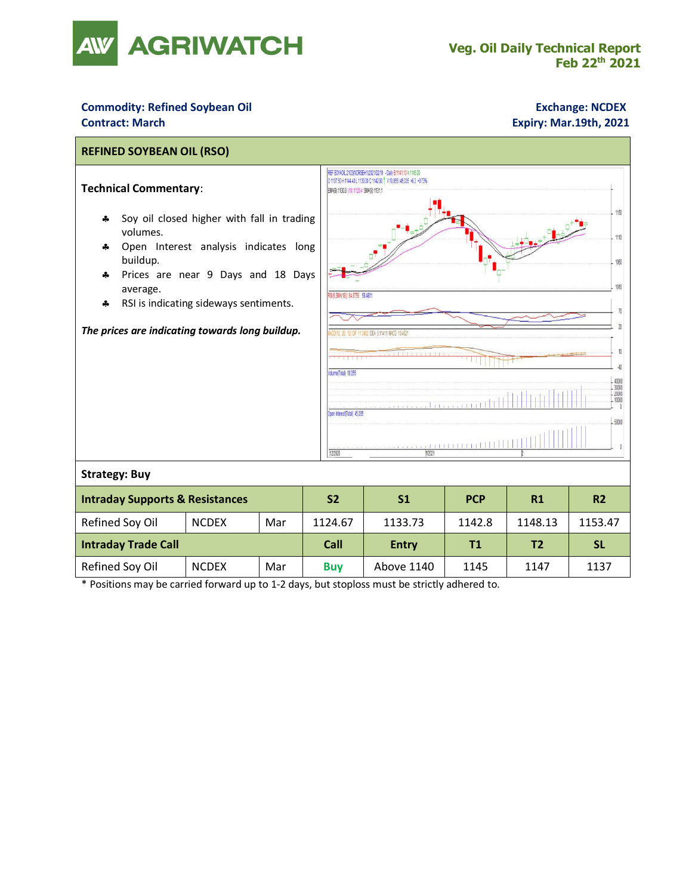

## **Commodity: Refined Soybean Oil <b>Exchange: NCDEX Exchange: NCDEX Contract: March Expiry: Mar.19th, 2021**